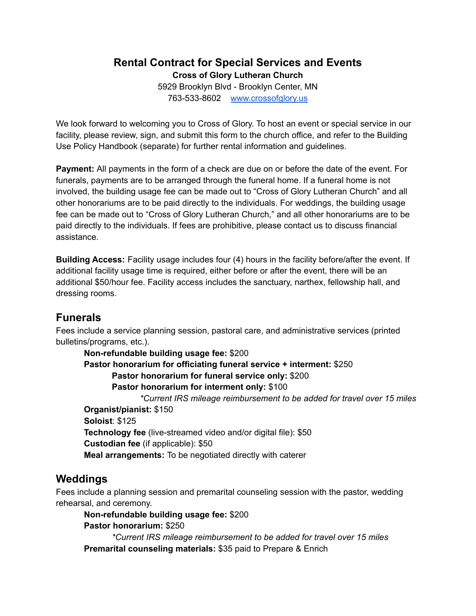# **Rental Contract for Special Services and Events**

**Cross of Glory Lutheran Church**

5929 Brooklyn Blvd - Brooklyn Center, MN 763-533-8602 [www.crossofglory.us](http://www.crossofglory.us)

We look forward to welcoming you to Cross of Glory. To host an event or special service in our facility, please review, sign, and submit this form to the church office, and refer to the Building Use Policy Handbook (separate) for further rental information and guidelines.

**Payment:** All payments in the form of a check are due on or before the date of the event. For funerals, payments are to be arranged through the funeral home. If a funeral home is not involved, the building usage fee can be made out to "Cross of Glory Lutheran Church" and all other honorariums are to be paid directly to the individuals. For weddings, the building usage fee can be made out to "Cross of Glory Lutheran Church," and all other honorariums are to be paid directly to the individuals. If fees are prohibitive, please contact us to discuss financial assistance.

**Building Access:** Facility usage includes four (4) hours in the facility before/after the event. If additional facility usage time is required, either before or after the event, there will be an additional \$50/hour fee. Facility access includes the sanctuary, narthex, fellowship hall, and dressing rooms.

### **Funerals**

Fees include a service planning session, pastoral care, and administrative services (printed bulletins/programs, etc.).

**Non-refundable building usage fee:** \$200 **Pastor honorarium for officiating funeral service + interment:** \$250 **Pastor honorarium for funeral service only:** \$200 **Pastor honorarium for interment only:** \$100 *\*Current IRS mileage reimbursement to be added for travel over 15 miles* **Organist/pianist:** \$150 **Soloist**: \$125 **Technology fee** (live-streamed video and/or digital file): \$50 **Custodian fee** (if applicable): \$50 **Meal arrangements:** To be negotiated directly with caterer

### **Weddings**

Fees include a planning session and premarital counseling session with the pastor, wedding rehearsal, and ceremony.

**Non-refundable building usage fee:** \$200

**Pastor honorarium:** \$250

*\*Current IRS mileage reimbursement to be added for travel over 15 miles* **Premarital counseling materials:** \$35 paid to Prepare & Enrich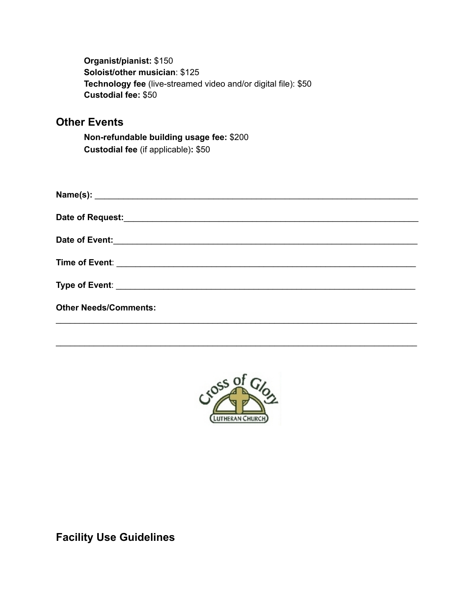**Organist/pianist:** \$150 **Soloist/other musician**: \$125 **Technology fee** (live-streamed video and/or digital file): \$50 **Custodial fee:** \$50

## **Other Events**

**Non-refundable building usage fee:** \$200 **Custodial fee** (if applicable)**:** \$50

| <b>Other Needs/Comments:</b> |
|------------------------------|
|                              |



\_\_\_\_\_\_\_\_\_\_\_\_\_\_\_\_\_\_\_\_\_\_\_\_\_\_\_\_\_\_\_\_\_\_\_\_\_\_\_\_\_\_\_\_\_\_\_\_\_\_\_\_\_\_\_\_\_\_\_\_\_\_\_\_\_\_\_\_\_\_\_\_\_\_\_\_

**Facility Use Guidelines**